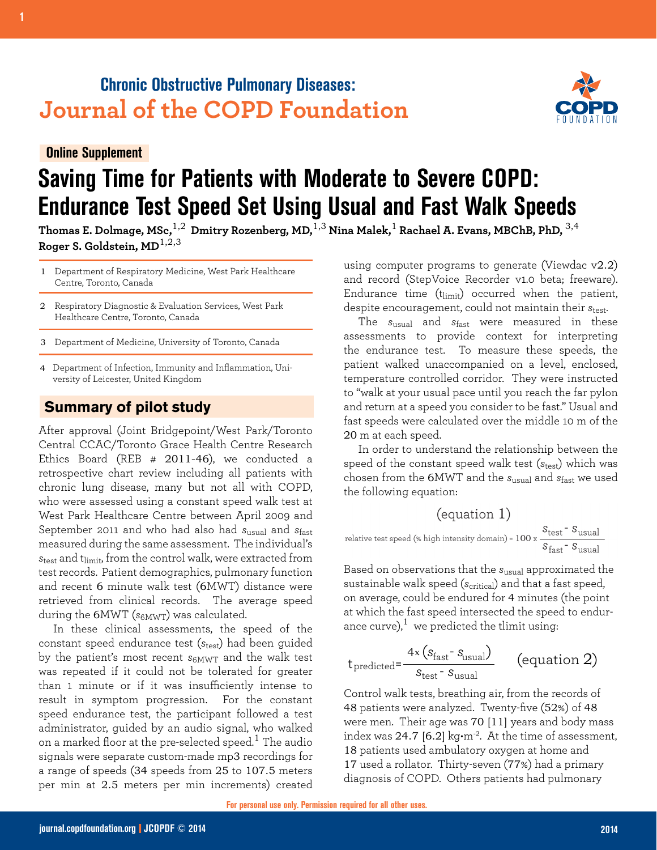## **Chronic Obstructive Pulmonary Diseases: Journal of the COPD Foundation**

**Online Supplement**

# **Saving Time for Patients with Moderate to Severe COPD: Endurance Test Speed Set Using Usual and Fast Walk Speeds**

**Thomas E. Dolmage, MSc,**1,2 **Dmitry Rozenberg, MD,**1,3 **Nina Malek,**1 **Rachael A. Evans, MBChB, PhD,** 3,4 **Roger S. Goldstein, MD**1,2,3

- Department of Respiratory Medicine, West Park Healthcare 1 Centre, Toronto, Canada
- Respiratory Diagnostic & Evaluation Services, West Park Healthcare Centre, Toronto, Canada 2
- Department of Medicine, University of Toronto, Canada 3
- Department of Infection, Immunity and Inflammation, Uni-4 versity of Leicester, United Kingdom

### **Summary of pilot study**

After approval (Joint Bridgepoint/West Park/Toronto Central CCAC/Toronto Grace Health Centre Research Ethics Board (REB # 2011-46), we conducted a retrospective chart review including all patients with chronic lung disease, many but not all with COPD, who were assessed using a constant speed walk test at West Park Healthcare Centre between April 2009 and September 2011 and who had also had *s*usual and *s*fast measured during the same assessment. The individual's  $s_{test}$  and t<sub>limit</sub>, from the control walk, were extracted from test records. Patient demographics, pulmonary function and recent 6 minute walk test (6MWT) distance were retrieved from clinical records. The average speed during the 6MWT (*s*6MWT) was calculated.

In these clinical assessments, the speed of the constant speed endurance test (*s*<sub>test</sub>) had been guided by the patient's most recent *s*6MWT and the walk test was repeated if it could not be tolerated for greater than 1 minute or if it was insufficiently intense to result in symptom progression. For the constant speed endurance test, the participant followed a test administrator, guided by an audio signal, who walked on a marked floor at the pre-selected speed. $^{\rm 1}$  The audio signals were separate custom-made mp3 recordings for a range of speeds (34 speeds from 25 to 107.5 meters per min at 2.5 meters per min increments) created

using computer programs to generate (Viewdac v2.2) and record (StepVoice Recorder v1.0 beta; freeware). Endurance time  $(t_{limit})$  occurred when the patient, despite encouragement, could not maintain their *s*test.

The *s*usual and *s*fast were measured in these assessments to provide context for interpreting the endurance test. To measure these speeds, the patient walked unaccompanied on a level, enclosed, temperature controlled corridor. They were instructed to "walk at your usual pace until you reach the far pylon and return at a speed you consider to be fast." Usual and fast speeds were calculated over the middle 10 m of the 20 m at each speed.

In order to understand the relationship between the speed of the constant speed walk test (*s*<sub>test</sub>) which was chosen from the 6MWT and the *s*usual and *s*fast we used the following equation:

$$
(equation 1)
$$
\n
$$
\text{relative test speed} (\text{% high intensity domain}) = 100 \times \frac{S_{\text{test}} - S_{\text{usual}}}{S_{\text{fast}} - S_{\text{usual}}}
$$

Based on observations that the *s*usual approximated the sustainable walk speed (*s<sub>critical</sub>*) and that a fast speed, on average, could be endured for 4 minutes (the point at which the fast speed intersected the speed to endurance curve), $1$  we predicted the tlimit using:

$$
t_{predicted} = \frac{4 \times (s_{fast} - s_{usual})}{s_{test} - s_{usual}}
$$
 (equation 2)

Control walk tests, breathing air, from the records of 48 patients were analyzed. Twenty-five (52%) of 48 were men. Their age was 70 [11] years and body mass index was 24.7 [6.2]  $kg·m²$ . At the time of assessment, 18 patients used ambulatory oxygen at home and 17 used a rollator. Thirty-seven (77%) had a primary diagnosis of COPD. Others patients had pulmonary

**For personal use only. Permission required for all other uses.**